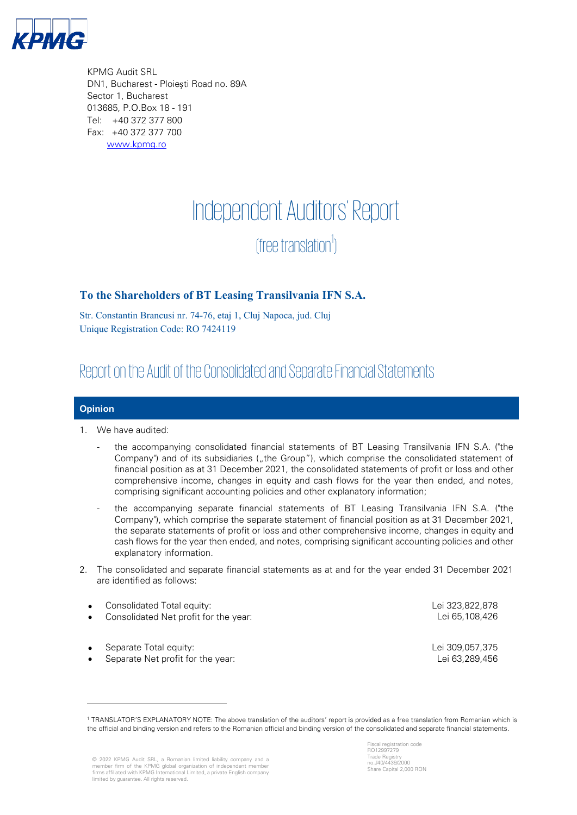

KPMG Audit SRL DN1, Bucharest - Ploiești Road no. 89A Sector 1, Bucharest 013685, P.O.Box 18 - 191 Tel: +40 372 377 800 Fax: +40 372 377 700 [www.kpmg.ro](http://www.kpmg.ro/)

# Independent Auditors' Report (free translation $^1$  $^1$ ) )

# **To the Shareholders of BT Leasing Transilvania IFN S.A.**

Str. Constantin Brancusi nr. 74-76, etaj 1, Cluj Napoca, jud. Cluj Unique Registration Code: RO 7424119

# Report on the Audit of the Consolidated and Separate Financial Statements

# **Opinion**

- 1. We have audited:
	- the accompanying consolidated financial statements of BT Leasing Transilvania IFN S.A. ("the Company") and of its subsidiaries ("the Group"), which comprise the consolidated statement of financial position as at 31 December 2021, the consolidated statements of profit or loss and other comprehensive income, changes in equity and cash flows for the year then ended, and notes, comprising significant accounting policies and other explanatory information;
	- the accompanying separate financial statements of BT Leasing Transilvania IFN S.A. ("the Company"), which comprise the separate statement of financial position as at 31 December 2021, the separate statements of profit or loss and other comprehensive income, changes in equity and cash flows for the year then ended, and notes, comprising significant accounting policies and other explanatory information.
- 2. The consolidated and separate financial statements as at and for the year ended 31 December 2021 are identified as follows:
	- Consolidated Total equity:
	- Consolidated Net profit for the year:
	- Separate Total equity:
	- Separate Net profit for the year:

Lei 323,822,878 Lei 65,108,426

Lei 309,057,375 Lei 63,289,456

<span id="page-0-0"></span><sup>1</sup> TRANSLATOR'S EXPLANATORY NOTE: The above translation of the auditors' report is provided as a free translation from Romanian which is the official and binding version and refers to the Romanian official and binding version of the consolidated and separate financial statements.

Fiscal registration code RO12997279 Trade Registry no.J40/4439/2000 Share Capital 2,000 RON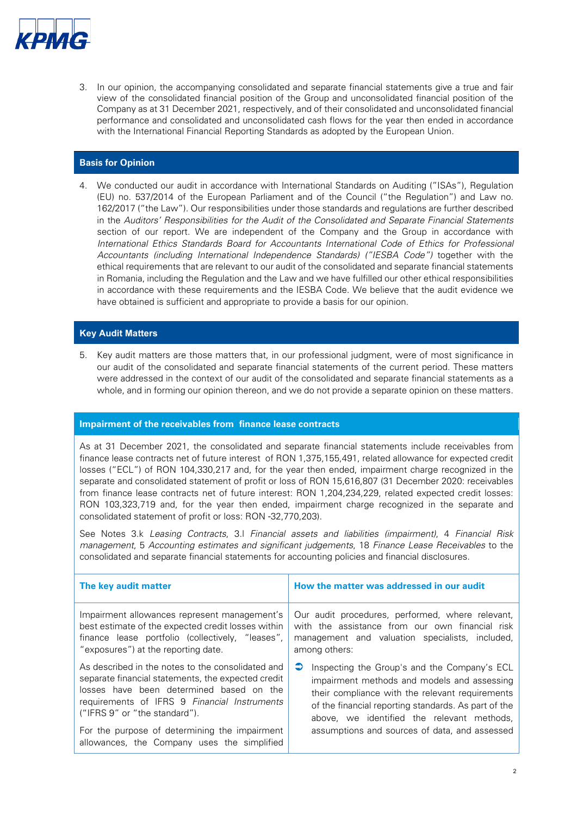

3. In our opinion, the accompanying consolidated and separate financial statements give a true and fair view of the consolidated financial position of the Group and unconsolidated financial position of the Company as at 31 December 2021, respectively, and of their consolidated and unconsolidated financial performance and consolidated and unconsolidated cash flows for the year then ended in accordance with the International Financial Reporting Standards as adopted by the European Union.

# **Basis for Opinion**

4. We conducted our audit in accordance with International Standards on Auditing ("ISAs"), Regulation (EU) no. 537/2014 of the European Parliament and of the Council ("the Regulation") and Law no. 162/2017 ("the Law"). Our responsibilities under those standards and regulations are further described in the Auditors' Responsibilities for the Audit of the Consolidated and Separate Financial Statements section of our report. We are independent of the Company and the Group in accordance with International Ethics Standards Board for Accountants International Code of Ethics for Professional Accountants (including International Independence Standards) ("IESBA Code") together with the ethical requirements that are relevant to our audit of the consolidated and separate financial statements in Romania, including the Regulation and the Law and we have fulfilled our other ethical responsibilities in accordance with these requirements and the IESBA Code. We believe that the audit evidence we have obtained is sufficient and appropriate to provide a basis for our opinion.

# **Key Audit Matters**

5. Key audit matters are those matters that, in our professional judgment, were of most significance in our audit of the consolidated and separate financial statements of the current period. These matters were addressed in the context of our audit of the consolidated and separate financial statements as a whole, and in forming our opinion thereon, and we do not provide a separate opinion on these matters.

## **Impairment of the receivables from finance lease contracts**

As at 31 December 2021, the consolidated and separate financial statements include receivables from finance lease contracts net of future interest of RON 1,375,155,491, related allowance for expected credit losses ("ECL") of RON 104,330,217 and, for the year then ended, impairment charge recognized in the separate and consolidated statement of profit or loss of RON 15,616,807 (31 December 2020: receivables from finance lease contracts net of future interest: RON 1,204,234,229, related expected credit losses: RON 103,323,719 and, for the year then ended, impairment charge recognized in the separate and consolidated statement of profit or loss: RON -32,770,203).

See Notes 3.k Leasing Contracts, 3.l Financial assets and liabilities (impairment), 4 Financial Risk management, 5 Accounting estimates and significant judgements, 18 Finance Lease Receivables to the consolidated and separate financial statements for accounting policies and financial disclosures.

| The key audit matter                                                                                                                                                                                                                 | How the matter was addressed in our audit                                                                                                                                                                                                                 |
|--------------------------------------------------------------------------------------------------------------------------------------------------------------------------------------------------------------------------------------|-----------------------------------------------------------------------------------------------------------------------------------------------------------------------------------------------------------------------------------------------------------|
| Impairment allowances represent management's<br>best estimate of the expected credit losses within<br>finance lease portfolio (collectively, "leases",<br>"exposures") at the reporting date.                                        | Our audit procedures, performed, where relevant,<br>with the assistance from our own financial risk<br>management and valuation specialists, included,<br>among others:                                                                                   |
| As described in the notes to the consolidated and<br>separate financial statements, the expected credit<br>losses have been determined based on the<br>requirements of IFRS 9 Financial Instruments<br>("IFRS 9" or "the standard"). | ∍<br>Inspecting the Group's and the Company's ECL<br>impairment methods and models and assessing<br>their compliance with the relevant requirements<br>of the financial reporting standards. As part of the<br>above, we identified the relevant methods, |
| For the purpose of determining the impairment<br>allowances, the Company uses the simplified                                                                                                                                         | assumptions and sources of data, and assessed                                                                                                                                                                                                             |

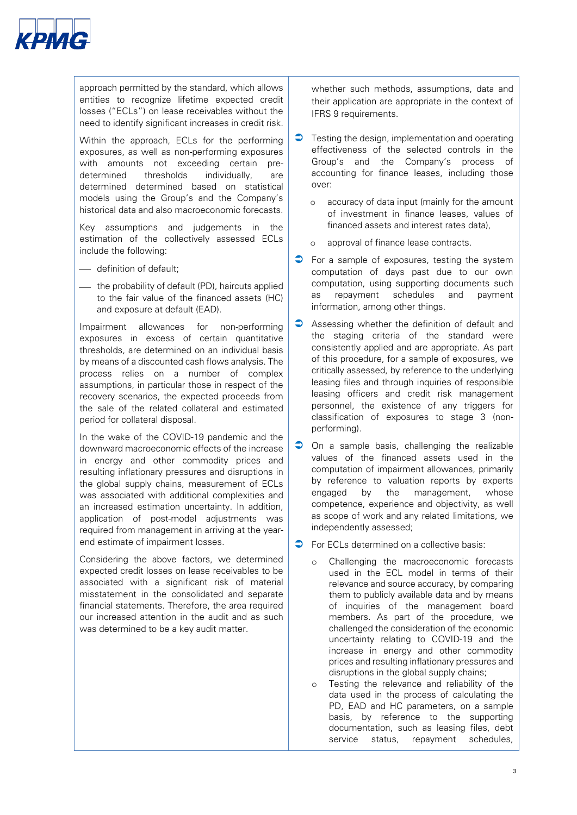

approach permitted by the standard, which allows entities to recognize lifetime expected credit losses ("ECLs") on lease receivables without the need to identify significant increases in credit risk.

Within the approach, ECLs for the performing exposures, as well as non-performing exposures with amounts not exceeding certain predetermined thresholds individually, are determined determined based on statistical models using the Group's and the Company's historical data and also macroeconomic forecasts.

Key assumptions and judgements in the estimation of the collectively assessed ECLs include the following:

- definition of default;
- the probability of default (PD), haircuts applied to the fair value of the financed assets (HC) and exposure at default (EAD).

Impairment allowances for non-performing exposures in excess of certain quantitative thresholds, are determined on an individual basis by means of a discounted cash flows analysis. The process relies on a number of complex assumptions, in particular those in respect of the recovery scenarios, the expected proceeds from the sale of the related collateral and estimated period for collateral disposal.

In the wake of the COVID-19 pandemic and the downward macroeconomic effects of the increase in energy and other commodity prices and resulting inflationary pressures and disruptions in the global supply chains, measurement of ECLs was associated with additional complexities and an increased estimation uncertainty. In addition, application of post-model adjustments was required from management in arriving at the yearend estimate of impairment losses.

Considering the above factors, we determined expected credit losses on lease receivables to be associated with a significant risk of material misstatement in the consolidated and separate financial statements. Therefore, the area required our increased attention in the audit and as such was determined to be a key audit matter.

whether such methods, assumptions, data and their application are appropriate in the context of IFRS 9 requirements.

- $\bullet$  Testing the design, implementation and operating effectiveness of the selected controls in the Group's and the Company's process of accounting for finance leases, including those over:
	- o accuracy of data input (mainly for the amount of investment in finance leases, values of financed assets and interest rates data),
	- o approval of finance lease contracts.
- $\bullet$  For a sample of exposures, testing the system computation of days past due to our own computation, using supporting documents such as repayment schedules and payment information, among other things.
- Assessing whether the definition of default and the staging criteria of the standard were consistently applied and are appropriate. As part of this procedure, for a sample of exposures, we critically assessed, by reference to the underlying leasing files and through inquiries of responsible leasing officers and credit risk management personnel, the existence of any triggers for classification of exposures to stage 3 (nonperforming).
- On a sample basis, challenging the realizable values of the financed assets used in the computation of impairment allowances, primarily by reference to valuation reports by experts engaged by the management, whose competence, experience and objectivity, as well as scope of work and any related limitations, we independently assessed;
- $\triangleright$  For ECLs determined on a collective basis:
	- o Challenging the macroeconomic forecasts used in the ECL model in terms of their relevance and source accuracy, by comparing them to publicly available data and by means of inquiries of the management board members. As part of the procedure, we challenged the consideration of the economic uncertainty relating to COVID-19 and the increase in energy and other commodity prices and resulting inflationary pressures and disruptions in the global supply chains;
	- o Testing the relevance and reliability of the data used in the process of calculating the PD, EAD and HC parameters, on a sample basis, by reference to the supporting documentation, such as leasing files, debt service status, repayment schedules,

3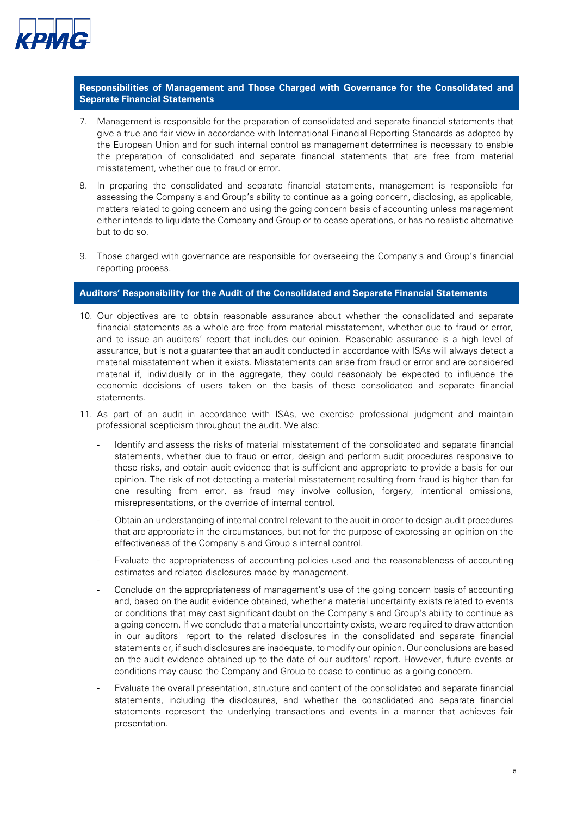

### **Responsibilities of Management and Those Charged with Governance for the Consolidated and Separate Financial Statements**

- 7. Management is responsible for the preparation of consolidated and separate financial statements that give a true and fair view in accordance with International Financial Reporting Standards as adopted by the European Union and for such internal control as management determines is necessary to enable the preparation of consolidated and separate financial statements that are free from material misstatement, whether due to fraud or error.
- 8. In preparing the consolidated and separate financial statements, management is responsible for assessing the Company's and Group's ability to continue as a going concern, disclosing, as applicable, matters related to going concern and using the going concern basis of accounting unless management either intends to liquidate the Company and Group or to cease operations, or has no realistic alternative but to do so.
- 9. Those charged with governance are responsible for overseeing the Company's and Group's financial reporting process.

#### **Auditors' Responsibility for the Audit of the Consolidated and Separate Financial Statements**

- 10. Our objectives are to obtain reasonable assurance about whether the consolidated and separate financial statements as a whole are free from material misstatement, whether due to fraud or error, and to issue an auditors' report that includes our opinion. Reasonable assurance is a high level of assurance, but is not a guarantee that an audit conducted in accordance with ISAs will always detect a material misstatement when it exists. Misstatements can arise from fraud or error and are considered material if, individually or in the aggregate, they could reasonably be expected to influence the economic decisions of users taken on the basis of these consolidated and separate financial statements.
- 11. As part of an audit in accordance with ISAs, we exercise professional judgment and maintain professional scepticism throughout the audit. We also:
	- Identify and assess the risks of material misstatement of the consolidated and separate financial statements, whether due to fraud or error, design and perform audit procedures responsive to those risks, and obtain audit evidence that is sufficient and appropriate to provide a basis for our opinion. The risk of not detecting a material misstatement resulting from fraud is higher than for one resulting from error, as fraud may involve collusion, forgery, intentional omissions, misrepresentations, or the override of internal control.
	- Obtain an understanding of internal control relevant to the audit in order to design audit procedures that are appropriate in the circumstances, but not for the purpose of expressing an opinion on the effectiveness of the Company's and Group's internal control.
	- Evaluate the appropriateness of accounting policies used and the reasonableness of accounting estimates and related disclosures made by management.
	- Conclude on the appropriateness of management's use of the going concern basis of accounting and, based on the audit evidence obtained, whether a material uncertainty exists related to events or conditions that may cast significant doubt on the Company's and Group's ability to continue as a going concern. If we conclude that a material uncertainty exists, we are required to draw attention in our auditors' report to the related disclosures in the consolidated and separate financial statements or, if such disclosures are inadequate, to modify our opinion. Our conclusions are based on the audit evidence obtained up to the date of our auditors' report. However, future events or conditions may cause the Company and Group to cease to continue as a going concern.
	- Evaluate the overall presentation, structure and content of the consolidated and separate financial statements, including the disclosures, and whether the consolidated and separate financial statements represent the underlying transactions and events in a manner that achieves fair presentation.

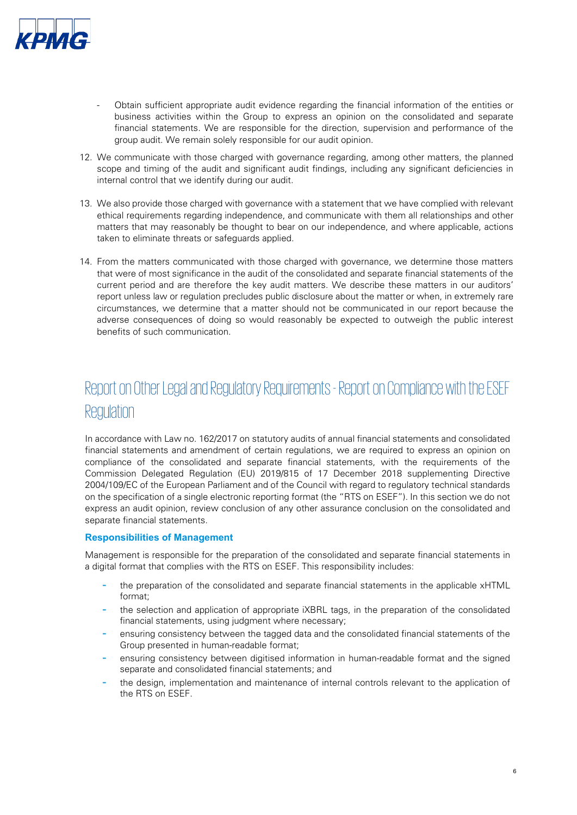

- Obtain sufficient appropriate audit evidence regarding the financial information of the entities or business activities within the Group to express an opinion on the consolidated and separate financial statements. We are responsible for the direction, supervision and performance of the group audit. We remain solely responsible for our audit opinion.
- 12. We communicate with those charged with governance regarding, among other matters, the planned scope and timing of the audit and significant audit findings, including any significant deficiencies in internal control that we identify during our audit.
- 13. We also provide those charged with governance with a statement that we have complied with relevant ethical requirements regarding independence, and communicate with them all relationships and other matters that may reasonably be thought to bear on our independence, and where applicable, actions taken to eliminate threats or safeguards applied.
- 14. From the matters communicated with those charged with governance, we determine those matters that were of most significance in the audit of the consolidated and separate financial statements of the current period and are therefore the key audit matters. We describe these matters in our auditors' report unless law or regulation precludes public disclosure about the matter or when, in extremely rare circumstances, we determine that a matter should not be communicated in our report because the adverse consequences of doing so would reasonably be expected to outweigh the public interest benefits of such communication.

# Report on Other Legal and Regulatory Requirements - Report on Compliance with the ESEF **Regulation**

In accordance with Law no. 162/2017 on statutory audits of annual financial statements and consolidated financial statements and amendment of certain regulations, we are required to express an opinion on compliance of the consolidated and separate financial statements, with the requirements of the Commission Delegated Regulation (EU) 2019/815 of 17 December 2018 supplementing Directive 2004/109/EC of the European Parliament and of the Council with regard to regulatory technical standards on the specification of a single electronic reporting format (the "RTS on ESEF"). In this section we do not express an audit opinion, review conclusion of any other assurance conclusion on the consolidated and separate financial statements.

## **Responsibilities of Management**

Management is responsible for the preparation of the consolidated and separate financial statements in a digital format that complies with the RTS on ESEF. This responsibility includes:

- the preparation of the consolidated and separate financial statements in the applicable xHTML format;
- the selection and application of appropriate iXBRL tags, in the preparation of the consolidated financial statements, using judgment where necessary;
- ensuring consistency between the tagged data and the consolidated financial statements of the Group presented in human-readable format;
- ensuring consistency between digitised information in human-readable format and the signed separate and consolidated financial statements; and
- the design, implementation and maintenance of internal controls relevant to the application of the RTS on ESEF.

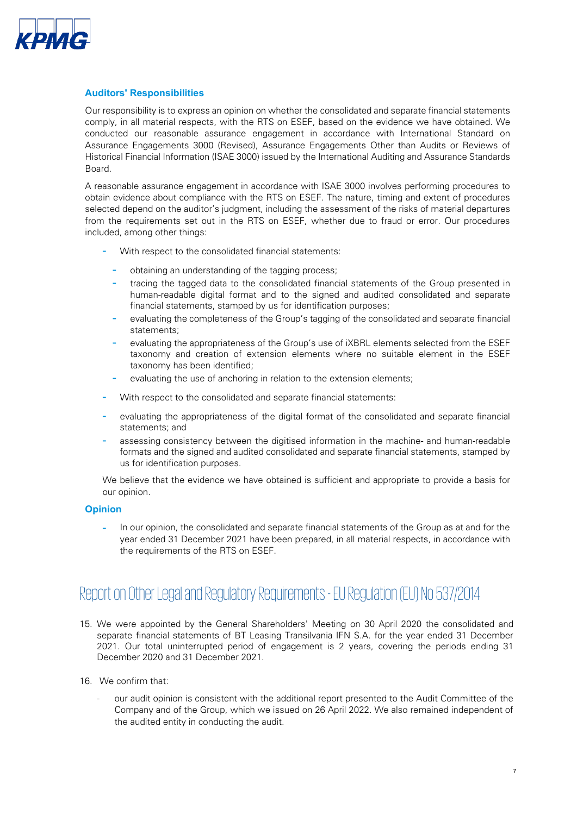

## **Auditors' Responsibilities**

Our responsibility is to express an opinion on whether the consolidated and separate financial statements comply, in all material respects, with the RTS on ESEF, based on the evidence we have obtained. We conducted our reasonable assurance engagement in accordance with International Standard on Assurance Engagements 3000 (Revised), Assurance Engagements Other than Audits or Reviews of Historical Financial Information (ISAE 3000) issued by the International Auditing and Assurance Standards Board.

A reasonable assurance engagement in accordance with ISAE 3000 involves performing procedures to obtain evidence about compliance with the RTS on ESEF. The nature, timing and extent of procedures selected depend on the auditor's judgment, including the assessment of the risks of material departures from the requirements set out in the RTS on ESEF, whether due to fraud or error. Our procedures included, among other things:

- With respect to the consolidated financial statements:
	- obtaining an understanding of the tagging process;
	- tracing the tagged data to the consolidated financial statements of the Group presented in human-readable digital format and to the signed and audited consolidated and separate financial statements, stamped by us for identification purposes;
	- evaluating the completeness of the Group's tagging of the consolidated and separate financial statements;
	- evaluating the appropriateness of the Group's use of iXBRL elements selected from the ESEF taxonomy and creation of extension elements where no suitable element in the ESEF taxonomy has been identified;
	- evaluating the use of anchoring in relation to the extension elements;
- With respect to the consolidated and separate financial statements:
- evaluating the appropriateness of the digital format of the consolidated and separate financial statements; and
- assessing consistency between the digitised information in the machine- and human-readable formats and the signed and audited consolidated and separate financial statements, stamped by us for identification purposes.

We believe that the evidence we have obtained is sufficient and appropriate to provide a basis for our opinion.

#### **Opinion**

In our opinion, the consolidated and separate financial statements of the Group as at and for the year ended 31 December 2021 have been prepared, in all material respects, in accordance with the requirements of the RTS on ESEF.

# Report on Other Legal and Regulatory Requirements - EU Regulation (EU) No 537/2014

- 15. We were appointed by the General Shareholders' Meeting on 30 April 2020 the consolidated and separate financial statements of BT Leasing Transilvania IFN S.A. for the year ended 31 December 2021. Our total uninterrupted period of engagement is 2 years, covering the periods ending 31 December 2020 and 31 December 2021.
- 16. We confirm that:
	- our audit opinion is consistent with the additional report presented to the Audit Committee of the Company and of the Group, which we issued on 26 April 2022. We also remained independent of the audited entity in conducting the audit.